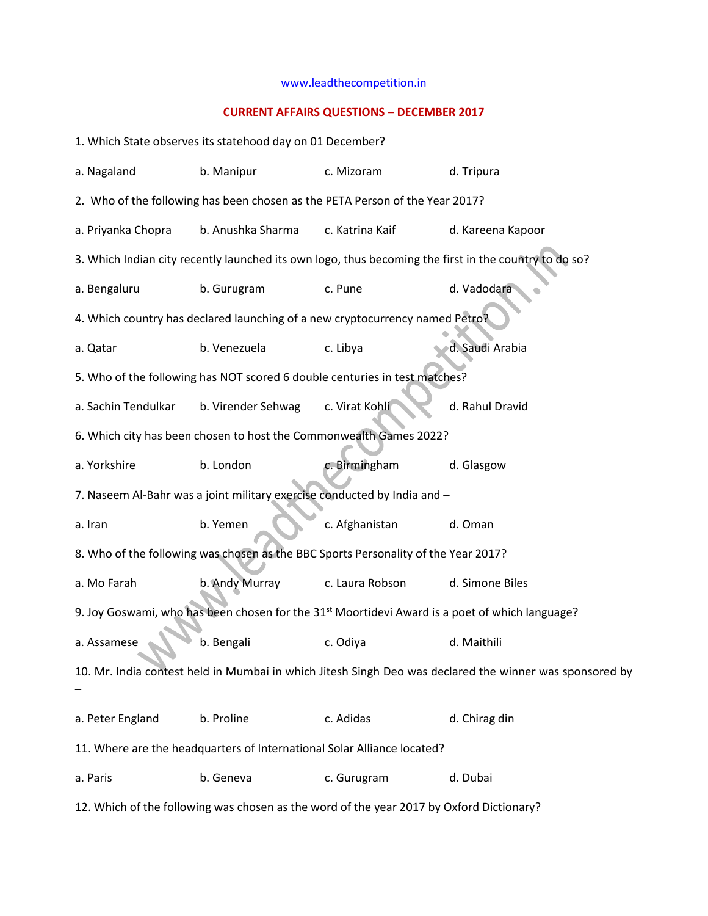## [www.leadthecompetition.in](http://www.leadthecompetition.in/)

## **CURRENT AFFAIRS QUESTIONS – DECEMBER 2017**

| 1. Which State observes its statehood day on 01 December?                                                  |                                                                              |                 |                   |  |  |  |
|------------------------------------------------------------------------------------------------------------|------------------------------------------------------------------------------|-----------------|-------------------|--|--|--|
| a. Nagaland                                                                                                | b. Manipur                                                                   | c. Mizoram      | d. Tripura        |  |  |  |
| 2. Who of the following has been chosen as the PETA Person of the Year 2017?                               |                                                                              |                 |                   |  |  |  |
| a. Priyanka Chopra                                                                                         | b. Anushka Sharma                                                            | c. Katrina Kaif | d. Kareena Kapoor |  |  |  |
| 3. Which Indian city recently launched its own logo, thus becoming the first in the country to do so?      |                                                                              |                 |                   |  |  |  |
| a. Bengaluru                                                                                               | b. Gurugram                                                                  | c. Pune         | d. Vadodara       |  |  |  |
|                                                                                                            | 4. Which country has declared launching of a new cryptocurrency named Petro? |                 |                   |  |  |  |
| a. Qatar                                                                                                   | b. Venezuela                                                                 | c. Libya        | d. Saudi Arabia   |  |  |  |
| 5. Who of the following has NOT scored 6 double centuries in test matches?                                 |                                                                              |                 |                   |  |  |  |
| a. Sachin Tendulkar                                                                                        | b. Virender Sehwag                                                           | c. Virat Kohli  | d. Rahul Dravid   |  |  |  |
| 6. Which city has been chosen to host the Commonwealth Games 2022?                                         |                                                                              |                 |                   |  |  |  |
| a. Yorkshire                                                                                               | b. London                                                                    | c. Birmingham   | d. Glasgow        |  |  |  |
|                                                                                                            | 7. Naseem Al-Bahr was a joint military exercise conducted by India and -     |                 |                   |  |  |  |
| a. Iran                                                                                                    | b. Yemen                                                                     | c. Afghanistan  | d. Oman           |  |  |  |
| 8. Who of the following was chosen as the BBC Sports Personality of the Year 2017?                         |                                                                              |                 |                   |  |  |  |
| a. Mo Farah                                                                                                | b. Andy Murray                                                               | c. Laura Robson | d. Simone Biles   |  |  |  |
| 9. Joy Goswami, who has been chosen for the 31 <sup>st</sup> Moortidevi Award is a poet of which language? |                                                                              |                 |                   |  |  |  |
| a. Assamese                                                                                                | b. Bengali                                                                   | c. Odiya        | d. Maithili       |  |  |  |
| 10. Mr. India contest held in Mumbai in which Jitesh Singh Deo was declared the winner was sponsored by    |                                                                              |                 |                   |  |  |  |
| a. Peter England                                                                                           | b. Proline                                                                   | c. Adidas       | d. Chirag din     |  |  |  |
| 11. Where are the headquarters of International Solar Alliance located?                                    |                                                                              |                 |                   |  |  |  |
| a. Paris                                                                                                   | b. Geneva                                                                    | c. Gurugram     | d. Dubai          |  |  |  |

12. Which of the following was chosen as the word of the year 2017 by Oxford Dictionary?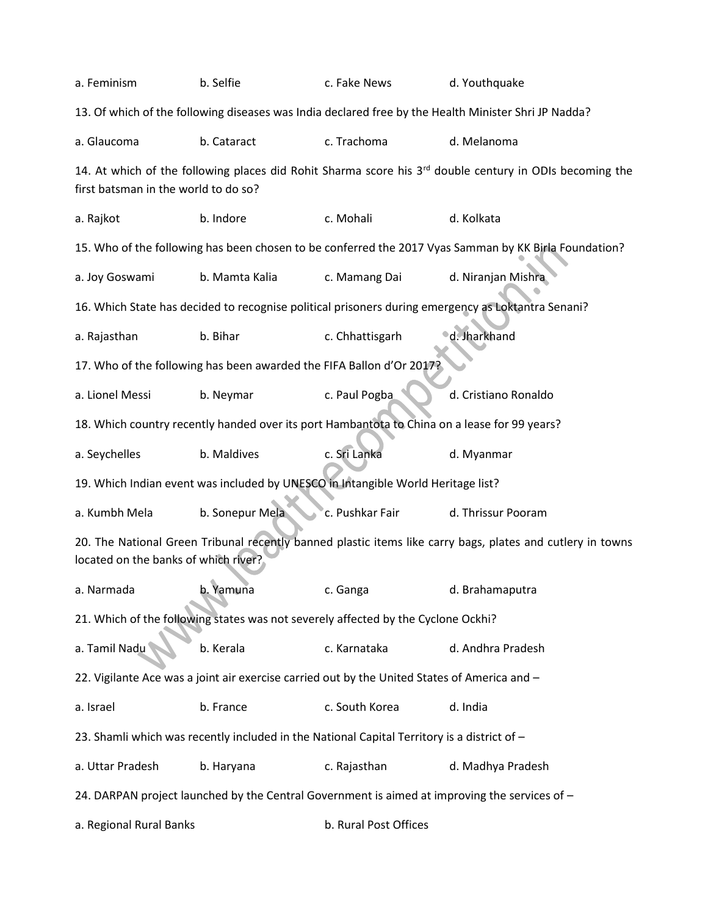| a. Feminism                                                                                                                                        | b. Selfie                                                            | c. Fake News          | d. Youthquake                                                                                         |  |  |  |
|----------------------------------------------------------------------------------------------------------------------------------------------------|----------------------------------------------------------------------|-----------------------|-------------------------------------------------------------------------------------------------------|--|--|--|
| 13. Of which of the following diseases was India declared free by the Health Minister Shri JP Nadda?                                               |                                                                      |                       |                                                                                                       |  |  |  |
| a. Glaucoma                                                                                                                                        | b. Cataract                                                          | c. Trachoma           | d. Melanoma                                                                                           |  |  |  |
| 14. At which of the following places did Rohit Sharma score his $3rd$ double century in ODIs becoming the<br>first batsman in the world to do so?  |                                                                      |                       |                                                                                                       |  |  |  |
| a. Rajkot                                                                                                                                          | b. Indore                                                            | c. Mohali             | d. Kolkata                                                                                            |  |  |  |
|                                                                                                                                                    |                                                                      |                       | 15. Who of the following has been chosen to be conferred the 2017 Vyas Samman by KK Birla Foundation? |  |  |  |
| a. Joy Goswami                                                                                                                                     | b. Mamta Kalia                                                       | c. Mamang Dai         | d. Niranjan Mishra                                                                                    |  |  |  |
|                                                                                                                                                    |                                                                      |                       | 16. Which State has decided to recognise political prisoners during emergency as Loktantra Senani?    |  |  |  |
| a. Rajasthan                                                                                                                                       | b. Bihar                                                             | c. Chhattisgarh       | d. Jharkhand                                                                                          |  |  |  |
|                                                                                                                                                    | 17. Who of the following has been awarded the FIFA Ballon d'Or 2017? |                       |                                                                                                       |  |  |  |
| a. Lionel Messi                                                                                                                                    | b. Neymar                                                            | c. Paul Pogba         | d. Cristiano Ronaldo                                                                                  |  |  |  |
| 18. Which country recently handed over its port Hambantota to China on a lease for 99 years?                                                       |                                                                      |                       |                                                                                                       |  |  |  |
| a. Seychelles                                                                                                                                      | b. Maldives                                                          | c. Sri Lanka          | d. Myanmar                                                                                            |  |  |  |
| 19. Which Indian event was included by UNESCO in Intangible World Heritage list?                                                                   |                                                                      |                       |                                                                                                       |  |  |  |
| a. Kumbh Mela                                                                                                                                      | b. Sonepur Mela                                                      | c. Pushkar Fair       | d. Thrissur Pooram                                                                                    |  |  |  |
| 20. The National Green Tribunal recently banned plastic items like carry bags, plates and cutlery in towns<br>located on the banks of which river? |                                                                      |                       |                                                                                                       |  |  |  |
| a. Narmada                                                                                                                                         | Yamuna<br>b.                                                         | c. Ganga              | d. Brahamaputra                                                                                       |  |  |  |
| 21. Which of the following states was not severely affected by the Cyclone Ockhi?                                                                  |                                                                      |                       |                                                                                                       |  |  |  |
| a. Tamil Nadu                                                                                                                                      | b. Kerala                                                            | c. Karnataka          | d. Andhra Pradesh                                                                                     |  |  |  |
| 22. Vigilante Ace was a joint air exercise carried out by the United States of America and -                                                       |                                                                      |                       |                                                                                                       |  |  |  |
| a. Israel                                                                                                                                          | b. France                                                            | c. South Korea        | d. India                                                                                              |  |  |  |
| 23. Shamli which was recently included in the National Capital Territory is a district of -                                                        |                                                                      |                       |                                                                                                       |  |  |  |
| a. Uttar Pradesh                                                                                                                                   | b. Haryana                                                           | c. Rajasthan          | d. Madhya Pradesh                                                                                     |  |  |  |
| 24. DARPAN project launched by the Central Government is aimed at improving the services of -                                                      |                                                                      |                       |                                                                                                       |  |  |  |
| a. Regional Rural Banks                                                                                                                            |                                                                      | b. Rural Post Offices |                                                                                                       |  |  |  |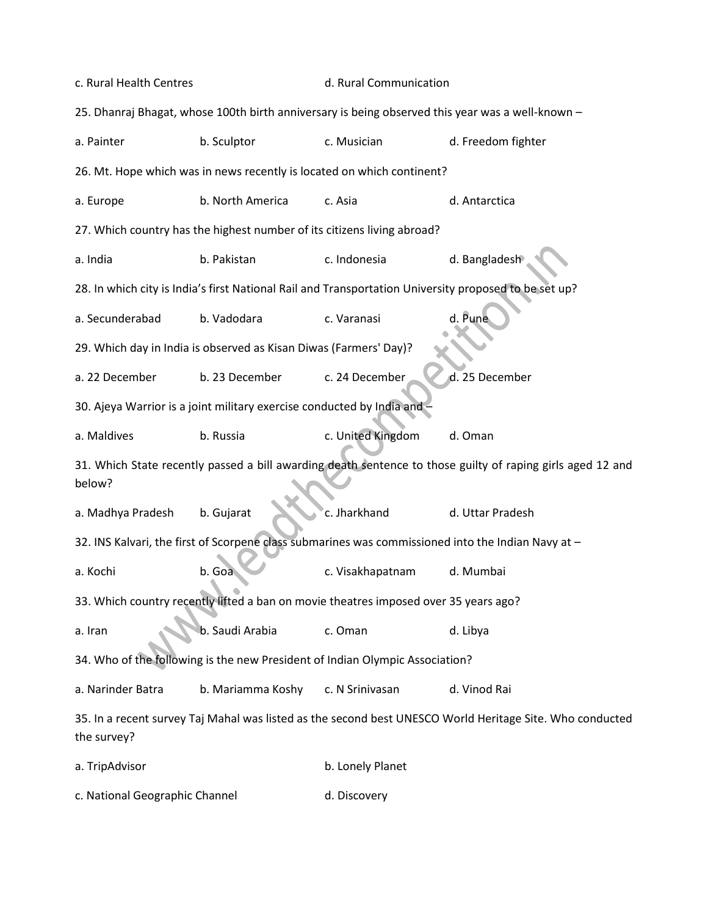| c. Rural Health Centres                                                                                                 |                                                                         | d. Rural Communication |                                                                                                    |  |  |
|-------------------------------------------------------------------------------------------------------------------------|-------------------------------------------------------------------------|------------------------|----------------------------------------------------------------------------------------------------|--|--|
| 25. Dhanraj Bhagat, whose 100th birth anniversary is being observed this year was a well-known -                        |                                                                         |                        |                                                                                                    |  |  |
| a. Painter                                                                                                              | b. Sculptor                                                             | c. Musician            | d. Freedom fighter                                                                                 |  |  |
| 26. Mt. Hope which was in news recently is located on which continent?                                                  |                                                                         |                        |                                                                                                    |  |  |
| a. Europe                                                                                                               | b. North America                                                        | c. Asia                | d. Antarctica                                                                                      |  |  |
|                                                                                                                         | 27. Which country has the highest number of its citizens living abroad? |                        |                                                                                                    |  |  |
| a. India                                                                                                                | b. Pakistan                                                             | c. Indonesia           | d. Bangladesh                                                                                      |  |  |
| 28. In which city is India's first National Rail and Transportation University proposed to be set up?                   |                                                                         |                        |                                                                                                    |  |  |
| a. Secunderabad                                                                                                         | b. Vadodara                                                             | c. Varanasi            | d. Pune                                                                                            |  |  |
| 29. Which day in India is observed as Kisan Diwas (Farmers' Day)?                                                       |                                                                         |                        |                                                                                                    |  |  |
| a. 22 December                                                                                                          | b. 23 December                                                          | c. 24 December         | d. 25 December                                                                                     |  |  |
|                                                                                                                         | 30. Ajeya Warrior is a joint military exercise conducted by India and - |                        |                                                                                                    |  |  |
| a. Maldives                                                                                                             | b. Russia                                                               | c. United Kingdom      | d. Oman                                                                                            |  |  |
| 31. Which State recently passed a bill awarding death sentence to those guilty of raping girls aged 12 and<br>below?    |                                                                         |                        |                                                                                                    |  |  |
| a. Madhya Pradesh                                                                                                       | b. Gujarat                                                              | c. Jharkhand           | d. Uttar Pradesh                                                                                   |  |  |
|                                                                                                                         |                                                                         |                        | 32. INS Kalvari, the first of Scorpene class submarines was commissioned into the Indian Navy at - |  |  |
| a. Kochi                                                                                                                | b. Goa                                                                  | c. Visakhapatnam       | d. Mumbai                                                                                          |  |  |
| 33. Which country recently lifted a ban on movie theatres imposed over 35 years ago?                                    |                                                                         |                        |                                                                                                    |  |  |
| a. Iran                                                                                                                 | b. Saudi Arabia                                                         | c. Oman                | d. Libya                                                                                           |  |  |
| 34. Who of the following is the new President of Indian Olympic Association?                                            |                                                                         |                        |                                                                                                    |  |  |
| a. Narinder Batra                                                                                                       | b. Mariamma Koshy                                                       | c. N Srinivasan        | d. Vinod Rai                                                                                       |  |  |
| 35. In a recent survey Taj Mahal was listed as the second best UNESCO World Heritage Site. Who conducted<br>the survey? |                                                                         |                        |                                                                                                    |  |  |
| a. TripAdvisor                                                                                                          |                                                                         | b. Lonely Planet       |                                                                                                    |  |  |
| c. National Geographic Channel                                                                                          |                                                                         | d. Discovery           |                                                                                                    |  |  |